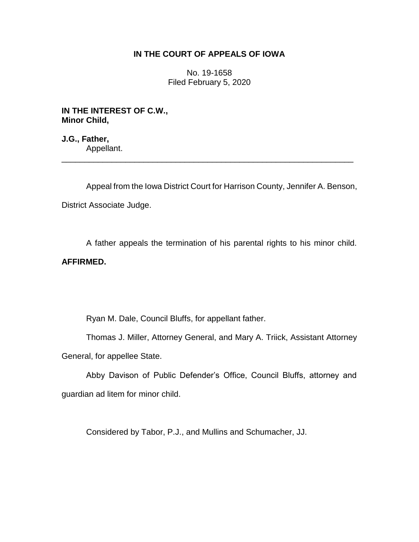# **IN THE COURT OF APPEALS OF IOWA**

No. 19-1658 Filed February 5, 2020

**IN THE INTEREST OF C.W., Minor Child,**

**J.G., Father,** Appellant. \_\_\_\_\_\_\_\_\_\_\_\_\_\_\_\_\_\_\_\_\_\_\_\_\_\_\_\_\_\_\_\_\_\_\_\_\_\_\_\_\_\_\_\_\_\_\_\_\_\_\_\_\_\_\_\_\_\_\_\_\_\_\_\_

Appeal from the Iowa District Court for Harrison County, Jennifer A. Benson, District Associate Judge.

A father appeals the termination of his parental rights to his minor child.

# **AFFIRMED.**

Ryan M. Dale, Council Bluffs, for appellant father.

Thomas J. Miller, Attorney General, and Mary A. Triick, Assistant Attorney General, for appellee State.

Abby Davison of Public Defender's Office, Council Bluffs, attorney and guardian ad litem for minor child.

Considered by Tabor, P.J., and Mullins and Schumacher, JJ.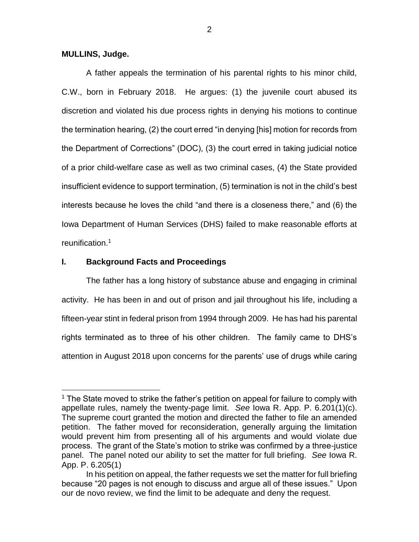## **MULLINS, Judge.**

 $\overline{a}$ 

A father appeals the termination of his parental rights to his minor child, C.W., born in February 2018. He argues: (1) the juvenile court abused its discretion and violated his due process rights in denying his motions to continue the termination hearing, (2) the court erred "in denying [his] motion for records from the Department of Corrections" (DOC), (3) the court erred in taking judicial notice of a prior child-welfare case as well as two criminal cases, (4) the State provided insufficient evidence to support termination, (5) termination is not in the child's best interests because he loves the child "and there is a closeness there," and (6) the Iowa Department of Human Services (DHS) failed to make reasonable efforts at reunification.<sup>1</sup>

## **I. Background Facts and Proceedings**

The father has a long history of substance abuse and engaging in criminal activity. He has been in and out of prison and jail throughout his life, including a fifteen-year stint in federal prison from 1994 through 2009. He has had his parental rights terminated as to three of his other children. The family came to DHS's attention in August 2018 upon concerns for the parents' use of drugs while caring

<sup>1</sup> The State moved to strike the father's petition on appeal for failure to comply with appellate rules, namely the twenty-page limit. *See* Iowa R. App. P. 6.201(1)(c). The supreme court granted the motion and directed the father to file an amended petition. The father moved for reconsideration, generally arguing the limitation would prevent him from presenting all of his arguments and would violate due process. The grant of the State's motion to strike was confirmed by a three-justice panel. The panel noted our ability to set the matter for full briefing. *See* Iowa R. App. P. 6.205(1)

In his petition on appeal, the father requests we set the matter for full briefing because "20 pages is not enough to discuss and argue all of these issues." Upon our de novo review, we find the limit to be adequate and deny the request.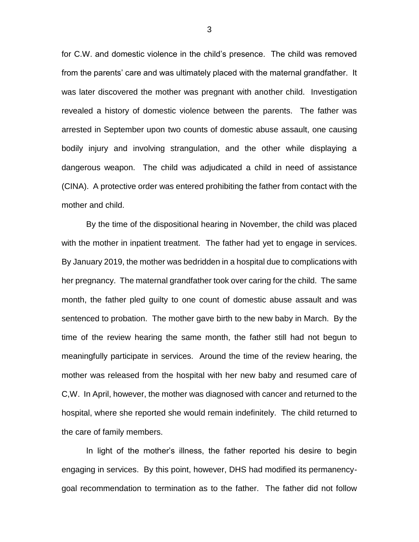for C.W. and domestic violence in the child's presence. The child was removed from the parents' care and was ultimately placed with the maternal grandfather. It was later discovered the mother was pregnant with another child. Investigation revealed a history of domestic violence between the parents. The father was arrested in September upon two counts of domestic abuse assault, one causing bodily injury and involving strangulation, and the other while displaying a dangerous weapon. The child was adjudicated a child in need of assistance (CINA). A protective order was entered prohibiting the father from contact with the mother and child.

By the time of the dispositional hearing in November, the child was placed with the mother in inpatient treatment. The father had yet to engage in services. By January 2019, the mother was bedridden in a hospital due to complications with her pregnancy. The maternal grandfather took over caring for the child. The same month, the father pled guilty to one count of domestic abuse assault and was sentenced to probation. The mother gave birth to the new baby in March. By the time of the review hearing the same month, the father still had not begun to meaningfully participate in services. Around the time of the review hearing, the mother was released from the hospital with her new baby and resumed care of C,W. In April, however, the mother was diagnosed with cancer and returned to the hospital, where she reported she would remain indefinitely. The child returned to the care of family members.

In light of the mother's illness, the father reported his desire to begin engaging in services. By this point, however, DHS had modified its permanencygoal recommendation to termination as to the father. The father did not follow

3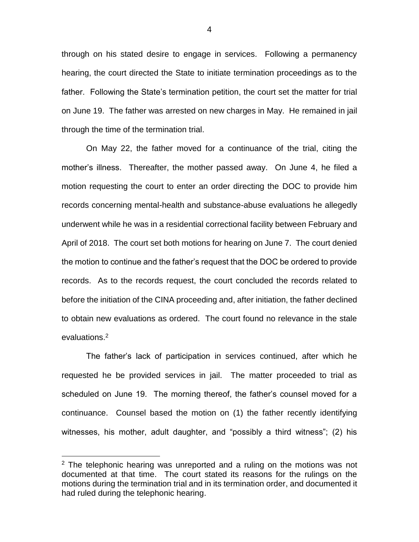through on his stated desire to engage in services. Following a permanency hearing, the court directed the State to initiate termination proceedings as to the father. Following the State's termination petition, the court set the matter for trial on June 19. The father was arrested on new charges in May. He remained in jail through the time of the termination trial.

On May 22, the father moved for a continuance of the trial, citing the mother's illness. Thereafter, the mother passed away. On June 4, he filed a motion requesting the court to enter an order directing the DOC to provide him records concerning mental-health and substance-abuse evaluations he allegedly underwent while he was in a residential correctional facility between February and April of 2018. The court set both motions for hearing on June 7. The court denied the motion to continue and the father's request that the DOC be ordered to provide records. As to the records request, the court concluded the records related to before the initiation of the CINA proceeding and, after initiation, the father declined to obtain new evaluations as ordered. The court found no relevance in the stale evaluations.<sup>2</sup>

The father's lack of participation in services continued, after which he requested he be provided services in jail. The matter proceeded to trial as scheduled on June 19. The morning thereof, the father's counsel moved for a continuance. Counsel based the motion on (1) the father recently identifying witnesses, his mother, adult daughter, and "possibly a third witness"; (2) his

 $\overline{a}$ 

 $2$  The telephonic hearing was unreported and a ruling on the motions was not documented at that time. The court stated its reasons for the rulings on the motions during the termination trial and in its termination order, and documented it had ruled during the telephonic hearing.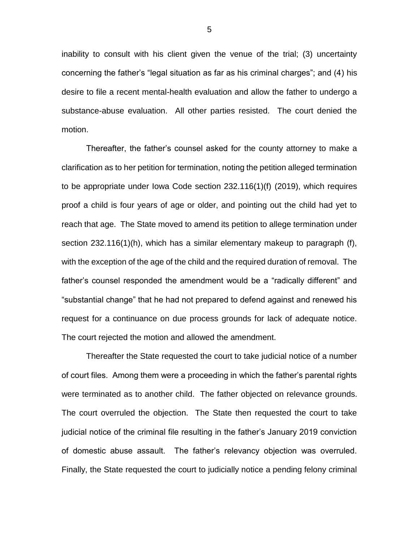inability to consult with his client given the venue of the trial; (3) uncertainty concerning the father's "legal situation as far as his criminal charges"; and (4) his desire to file a recent mental-health evaluation and allow the father to undergo a substance-abuse evaluation. All other parties resisted. The court denied the motion.

Thereafter, the father's counsel asked for the county attorney to make a clarification as to her petition for termination, noting the petition alleged termination to be appropriate under Iowa Code section 232.116(1)(f) (2019), which requires proof a child is four years of age or older, and pointing out the child had yet to reach that age. The State moved to amend its petition to allege termination under section 232.116(1)(h), which has a similar elementary makeup to paragraph (f), with the exception of the age of the child and the required duration of removal. The father's counsel responded the amendment would be a "radically different" and "substantial change" that he had not prepared to defend against and renewed his request for a continuance on due process grounds for lack of adequate notice. The court rejected the motion and allowed the amendment.

Thereafter the State requested the court to take judicial notice of a number of court files. Among them were a proceeding in which the father's parental rights were terminated as to another child. The father objected on relevance grounds. The court overruled the objection. The State then requested the court to take judicial notice of the criminal file resulting in the father's January 2019 conviction of domestic abuse assault. The father's relevancy objection was overruled. Finally, the State requested the court to judicially notice a pending felony criminal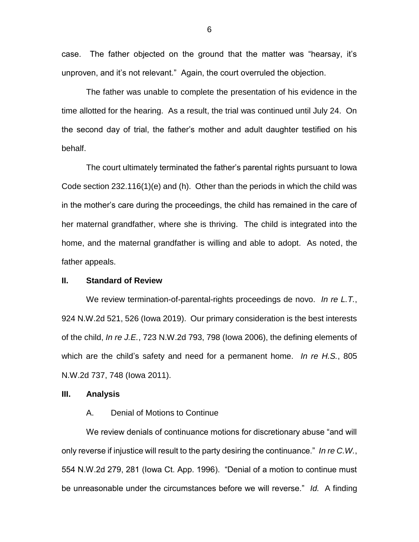case. The father objected on the ground that the matter was "hearsay, it's unproven, and it's not relevant." Again, the court overruled the objection.

The father was unable to complete the presentation of his evidence in the time allotted for the hearing. As a result, the trial was continued until July 24. On the second day of trial, the father's mother and adult daughter testified on his behalf.

The court ultimately terminated the father's parental rights pursuant to Iowa Code section 232.116(1)(e) and (h). Other than the periods in which the child was in the mother's care during the proceedings, the child has remained in the care of her maternal grandfather, where she is thriving. The child is integrated into the home, and the maternal grandfather is willing and able to adopt. As noted, the father appeals.

## **II. Standard of Review**

We review termination-of-parental-rights proceedings de novo. *In re L.T.*, 924 N.W.2d 521, 526 (Iowa 2019). Our primary consideration is the best interests of the child, *In re J.E.*, 723 N.W.2d 793, 798 (Iowa 2006), the defining elements of which are the child's safety and need for a permanent home. *In re H.S.*, 805 N.W.2d 737, 748 (Iowa 2011).

#### **III. Analysis**

#### A. Denial of Motions to Continue

We review denials of continuance motions for discretionary abuse "and will only reverse if injustice will result to the party desiring the continuance." *In re C.W.*, 554 N.W.2d 279, 281 (Iowa Ct. App. 1996). "Denial of a motion to continue must be unreasonable under the circumstances before we will reverse." *Id.* A finding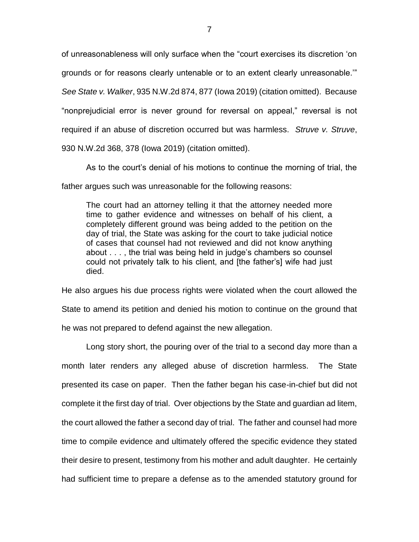of unreasonableness will only surface when the "court exercises its discretion 'on grounds or for reasons clearly untenable or to an extent clearly unreasonable.'" *See State v. Walker*, 935 N.W.2d 874, 877 (Iowa 2019) (citation omitted). Because "nonprejudicial error is never ground for reversal on appeal," reversal is not required if an abuse of discretion occurred but was harmless. *Struve v. Struve*, 930 N.W.2d 368, 378 (Iowa 2019) (citation omitted).

As to the court's denial of his motions to continue the morning of trial, the father argues such was unreasonable for the following reasons:

The court had an attorney telling it that the attorney needed more time to gather evidence and witnesses on behalf of his client, a completely different ground was being added to the petition on the day of trial, the State was asking for the court to take judicial notice of cases that counsel had not reviewed and did not know anything about . . . , the trial was being held in judge's chambers so counsel could not privately talk to his client, and [the father's] wife had just died.

He also argues his due process rights were violated when the court allowed the State to amend its petition and denied his motion to continue on the ground that he was not prepared to defend against the new allegation.

Long story short, the pouring over of the trial to a second day more than a month later renders any alleged abuse of discretion harmless. The State presented its case on paper. Then the father began his case-in-chief but did not complete it the first day of trial. Over objections by the State and guardian ad litem, the court allowed the father a second day of trial. The father and counsel had more time to compile evidence and ultimately offered the specific evidence they stated their desire to present, testimony from his mother and adult daughter. He certainly had sufficient time to prepare a defense as to the amended statutory ground for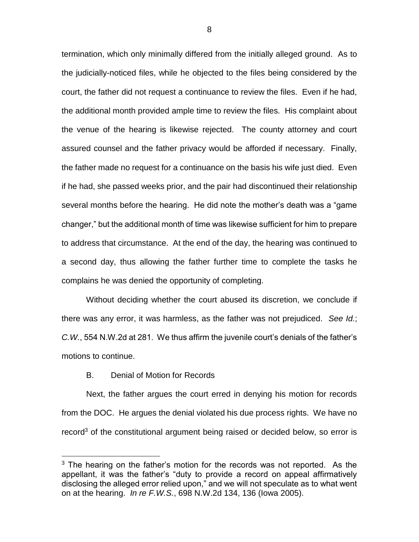termination, which only minimally differed from the initially alleged ground. As to the judicially-noticed files, while he objected to the files being considered by the court, the father did not request a continuance to review the files. Even if he had, the additional month provided ample time to review the files. His complaint about the venue of the hearing is likewise rejected. The county attorney and court assured counsel and the father privacy would be afforded if necessary. Finally, the father made no request for a continuance on the basis his wife just died. Even if he had, she passed weeks prior, and the pair had discontinued their relationship several months before the hearing. He did note the mother's death was a "game changer," but the additional month of time was likewise sufficient for him to prepare to address that circumstance. At the end of the day, the hearing was continued to a second day, thus allowing the father further time to complete the tasks he complains he was denied the opportunity of completing.

Without deciding whether the court abused its discretion, we conclude if there was any error, it was harmless, as the father was not prejudiced. *See Id.*; *C.W.*, 554 N.W.2d at 281. We thus affirm the juvenile court's denials of the father's motions to continue.

#### B. Denial of Motion for Records

 $\overline{a}$ 

Next, the father argues the court erred in denying his motion for records from the DOC. He argues the denial violated his due process rights. We have no record<sup>3</sup> of the constitutional argument being raised or decided below, so error is

 $3$  The hearing on the father's motion for the records was not reported. As the appellant, it was the father's "duty to provide a record on appeal affirmatively disclosing the alleged error relied upon," and we will not speculate as to what went on at the hearing. *In re F.W.S.*, 698 N.W.2d 134, 136 (Iowa 2005).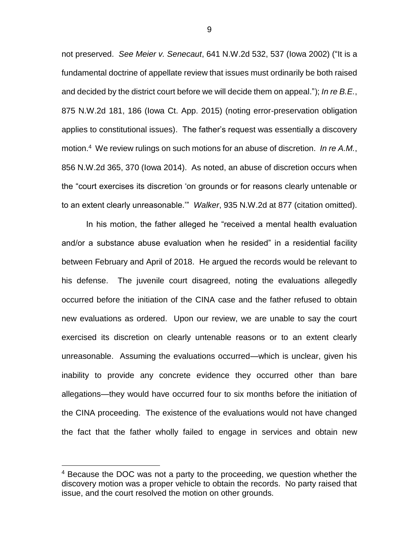not preserved. *See Meier v. Senecaut*, 641 N.W.2d 532, 537 (Iowa 2002) ("It is a fundamental doctrine of appellate review that issues must ordinarily be both raised and decided by the district court before we will decide them on appeal."); *In re B.E.*, 875 N.W.2d 181, 186 (Iowa Ct. App. 2015) (noting error-preservation obligation applies to constitutional issues). The father's request was essentially a discovery motion.<sup>4</sup> We review rulings on such motions for an abuse of discretion. *In re A.M.*, 856 N.W.2d 365, 370 (Iowa 2014). As noted, an abuse of discretion occurs when the "court exercises its discretion 'on grounds or for reasons clearly untenable or to an extent clearly unreasonable.'" *Walker*, 935 N.W.2d at 877 (citation omitted).

In his motion, the father alleged he "received a mental health evaluation and/or a substance abuse evaluation when he resided" in a residential facility between February and April of 2018. He argued the records would be relevant to his defense. The juvenile court disagreed, noting the evaluations allegedly occurred before the initiation of the CINA case and the father refused to obtain new evaluations as ordered. Upon our review, we are unable to say the court exercised its discretion on clearly untenable reasons or to an extent clearly unreasonable. Assuming the evaluations occurred—which is unclear, given his inability to provide any concrete evidence they occurred other than bare allegations—they would have occurred four to six months before the initiation of the CINA proceeding. The existence of the evaluations would not have changed the fact that the father wholly failed to engage in services and obtain new

 $\overline{a}$ 

9

<sup>&</sup>lt;sup>4</sup> Because the DOC was not a party to the proceeding, we question whether the discovery motion was a proper vehicle to obtain the records. No party raised that issue, and the court resolved the motion on other grounds.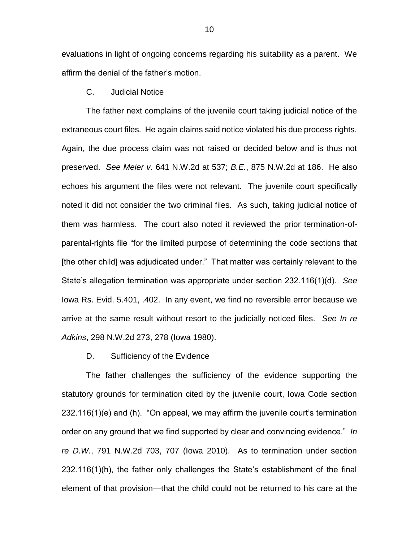evaluations in light of ongoing concerns regarding his suitability as a parent. We affirm the denial of the father's motion.

# C. Judicial Notice

The father next complains of the juvenile court taking judicial notice of the extraneous court files. He again claims said notice violated his due process rights. Again, the due process claim was not raised or decided below and is thus not preserved. *See Meier v.* 641 N.W.2d at 537; *B.E.*, 875 N.W.2d at 186. He also echoes his argument the files were not relevant. The juvenile court specifically noted it did not consider the two criminal files. As such, taking judicial notice of them was harmless. The court also noted it reviewed the prior termination-ofparental-rights file "for the limited purpose of determining the code sections that [the other child] was adjudicated under." That matter was certainly relevant to the State's allegation termination was appropriate under section 232.116(1)(d). *See*  Iowa Rs. Evid. 5.401, .402. In any event, we find no reversible error because we arrive at the same result without resort to the judicially noticed files. *See In re Adkins*, 298 N.W.2d 273, 278 (Iowa 1980).

#### D. Sufficiency of the Evidence

The father challenges the sufficiency of the evidence supporting the statutory grounds for termination cited by the juvenile court, Iowa Code section 232.116(1)(e) and (h). "On appeal, we may affirm the juvenile court's termination order on any ground that we find supported by clear and convincing evidence." *In re D.W.*, 791 N.W.2d 703, 707 (Iowa 2010). As to termination under section 232.116(1)(h), the father only challenges the State's establishment of the final element of that provision—that the child could not be returned to his care at the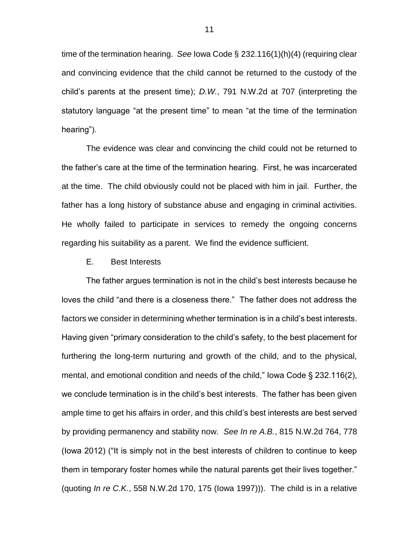time of the termination hearing. *See* Iowa Code § 232.116(1)(h)(4) (requiring clear and convincing evidence that the child cannot be returned to the custody of the child's parents at the present time); *D.W.*, 791 N.W.2d at 707 (interpreting the statutory language "at the present time" to mean "at the time of the termination hearing").

The evidence was clear and convincing the child could not be returned to the father's care at the time of the termination hearing. First, he was incarcerated at the time. The child obviously could not be placed with him in jail. Further, the father has a long history of substance abuse and engaging in criminal activities. He wholly failed to participate in services to remedy the ongoing concerns regarding his suitability as a parent. We find the evidence sufficient.

#### E. Best Interests

The father argues termination is not in the child's best interests because he loves the child "and there is a closeness there." The father does not address the factors we consider in determining whether termination is in a child's best interests. Having given "primary consideration to the child's safety, to the best placement for furthering the long-term nurturing and growth of the child, and to the physical, mental, and emotional condition and needs of the child," Iowa Code § 232.116(2), we conclude termination is in the child's best interests. The father has been given ample time to get his affairs in order, and this child's best interests are best served by providing permanency and stability now. *See In re A.B.*, 815 N.W.2d 764, 778 (Iowa 2012) ("It is simply not in the best interests of children to continue to keep them in temporary foster homes while the natural parents get their lives together." (quoting *In re C.K.*, 558 N.W.2d 170, 175 (Iowa 1997))). The child is in a relative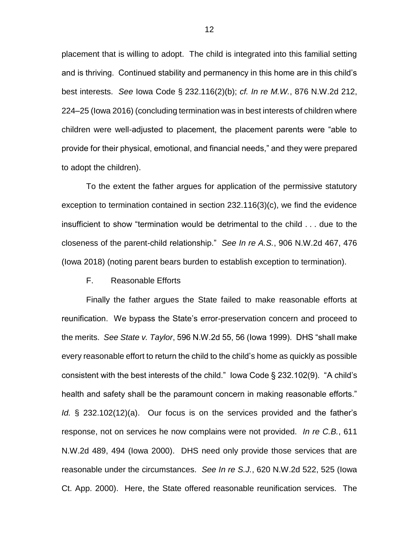placement that is willing to adopt. The child is integrated into this familial setting and is thriving. Continued stability and permanency in this home are in this child's best interests. *See* Iowa Code § 232.116(2)(b); *cf. In re M.W.*, 876 N.W.2d 212, 224–25 (Iowa 2016) (concluding termination was in best interests of children where children were well-adjusted to placement, the placement parents were "able to provide for their physical, emotional, and financial needs," and they were prepared to adopt the children).

To the extent the father argues for application of the permissive statutory exception to termination contained in section 232.116(3)(c), we find the evidence insufficient to show "termination would be detrimental to the child . . . due to the closeness of the parent-child relationship." *See In re A.S.*, 906 N.W.2d 467, 476 (Iowa 2018) (noting parent bears burden to establish exception to termination).

## F. Reasonable Efforts

Finally the father argues the State failed to make reasonable efforts at reunification. We bypass the State's error-preservation concern and proceed to the merits. *See State v. Taylor*, 596 N.W.2d 55, 56 (Iowa 1999). DHS "shall make every reasonable effort to return the child to the child's home as quickly as possible consistent with the best interests of the child." Iowa Code § 232.102(9). "A child's health and safety shall be the paramount concern in making reasonable efforts." *Id.* § 232.102(12)(a). Our focus is on the services provided and the father's response, not on services he now complains were not provided. *In re C.B.*, 611 N.W.2d 489, 494 (Iowa 2000). DHS need only provide those services that are reasonable under the circumstances. *See In re S.J.*, 620 N.W.2d 522, 525 (Iowa Ct. App. 2000). Here, the State offered reasonable reunification services. The